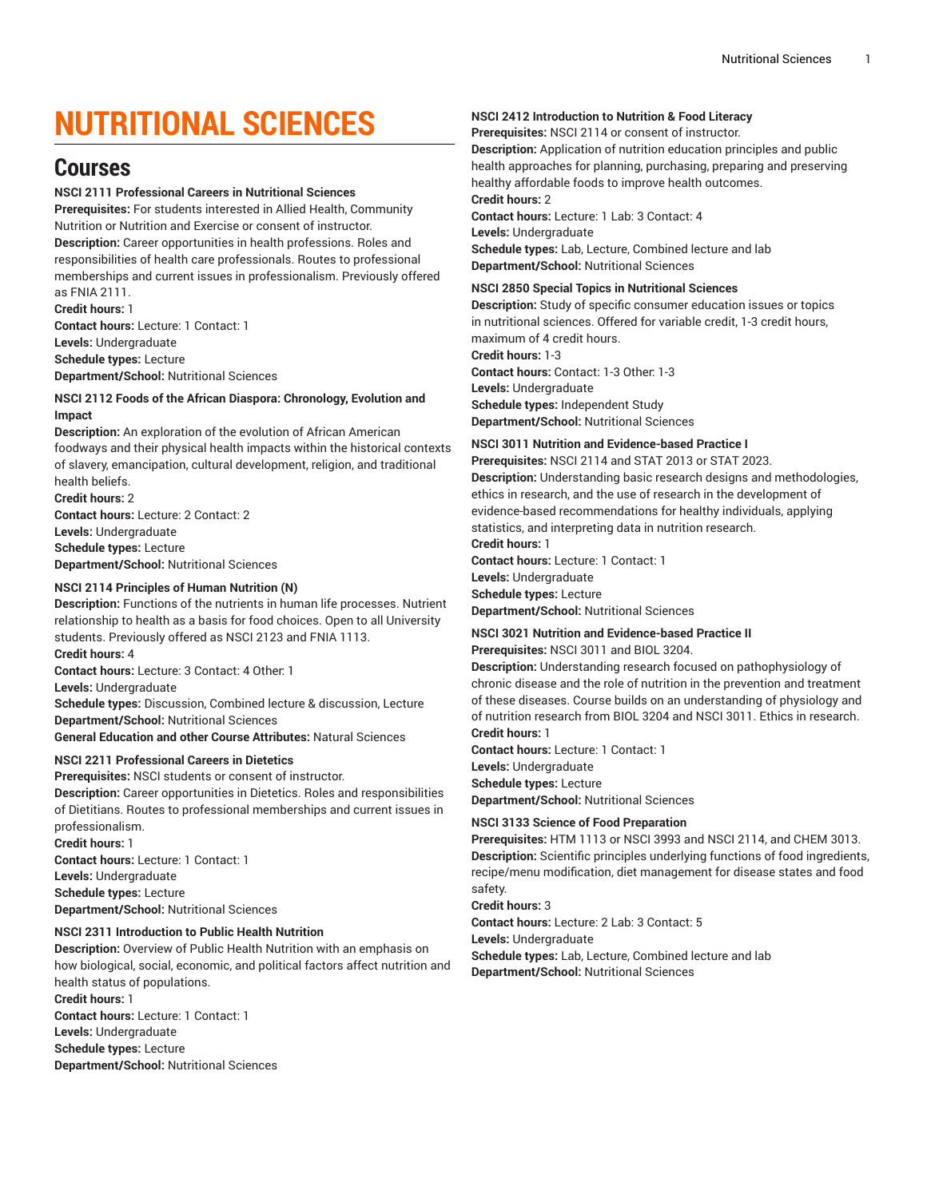# **NUTRITIONAL SCIENCES**

# **Courses**

# **NSCI 2111 Professional Careers in Nutritional Sciences**

**Prerequisites:** For students interested in Allied Health, Community Nutrition or Nutrition and Exercise or consent of instructor. **Description:** Career opportunities in health professions. Roles and responsibilities of health care professionals. Routes to professional memberships and current issues in professionalism. Previously offered as FNIA 2111.

**Credit hours:** 1 **Contact hours:** Lecture: 1 Contact: 1 **Levels:** Undergraduate **Schedule types:** Lecture **Department/School:** Nutritional Sciences

#### **NSCI 2112 Foods of the African Diaspora: Chronology, Evolution and Impact**

**Description:** An exploration of the evolution of African American foodways and their physical health impacts within the historical contexts of slavery, emancipation, cultural development, religion, and traditional health beliefs.

**Credit hours:** 2 **Contact hours:** Lecture: 2 Contact: 2 **Levels:** Undergraduate **Schedule types:** Lecture **Department/School:** Nutritional Sciences

# **NSCI 2114 Principles of Human Nutrition (N)**

**Description:** Functions of the nutrients in human life processes. Nutrient relationship to health as a basis for food choices. Open to all University students. Previously offered as NSCI 2123 and FNIA 1113. **Credit hours:** 4

**Contact hours:** Lecture: 3 Contact: 4 Other: 1

**Levels:** Undergraduate

**Schedule types:** Discussion, Combined lecture & discussion, Lecture **Department/School:** Nutritional Sciences

**General Education and other Course Attributes:** Natural Sciences

# **NSCI 2211 Professional Careers in Dietetics**

**Prerequisites:** NSCI students or consent of instructor.

**Description:** Career opportunities in Dietetics. Roles and responsibilities of Dietitians. Routes to professional memberships and current issues in professionalism. **Credit hours:** 1

**Contact hours:** Lecture: 1 Contact: 1 **Levels:** Undergraduate **Schedule types:** Lecture **Department/School:** Nutritional Sciences

# **NSCI 2311 Introduction to Public Health Nutrition**

**Description:** Overview of Public Health Nutrition with an emphasis on how biological, social, economic, and political factors affect nutrition and health status of populations. **Credit hours:** 1 **Contact hours:** Lecture: 1 Contact: 1 **Levels:** Undergraduate **Schedule types:** Lecture **Department/School:** Nutritional Sciences

#### **NSCI 2412 Introduction to Nutrition & Food Literacy**

**Prerequisites:** NSCI 2114 or consent of instructor.

**Description:** Application of nutrition education principles and public health approaches for planning, purchasing, preparing and preserving healthy affordable foods to improve health outcomes. **Credit hours:** 2

**Contact hours:** Lecture: 1 Lab: 3 Contact: 4 **Levels:** Undergraduate **Schedule types:** Lab, Lecture, Combined lecture and lab **Department/School:** Nutritional Sciences

#### **NSCI 2850 Special Topics in Nutritional Sciences**

**Description:** Study of specific consumer education issues or topics in nutritional sciences. Offered for variable credit, 1-3 credit hours, maximum of 4 credit hours.

**Credit hours:** 1-3

**Contact hours:** Contact: 1-3 Other: 1-3 **Levels:** Undergraduate **Schedule types:** Independent Study **Department/School:** Nutritional Sciences

# **NSCI 3011 Nutrition and Evidence-based Practice I**

**Prerequisites:** NSCI 2114 and STAT 2013 or STAT 2023. **Description:** Understanding basic research designs and methodologies, ethics in research, and the use of research in the development of evidence-based recommendations for healthy individuals, applying statistics, and interpreting data in nutrition research.

**Credit hours:** 1 **Contact hours:** Lecture: 1 Contact: 1 **Levels:** Undergraduate **Schedule types:** Lecture **Department/School:** Nutritional Sciences

#### **NSCI 3021 Nutrition and Evidence-based Practice II Prerequisites:** NSCI 3011 and BIOL 3204.

**Description:** Understanding research focused on pathophysiology of

chronic disease and the role of nutrition in the prevention and treatment of these diseases. Course builds on an understanding of physiology and of nutrition research from BIOL 3204 and NSCI 3011. Ethics in research. **Credit hours:** 1

**Contact hours:** Lecture: 1 Contact: 1 **Levels:** Undergraduate **Schedule types:** Lecture **Department/School:** Nutritional Sciences

# **NSCI 3133 Science of Food Preparation**

**Prerequisites:** HTM 1113 or NSCI 3993 and NSCI 2114, and CHEM 3013. **Description:** Scientific principles underlying functions of food ingredients, recipe/menu modification, diet management for disease states and food safety.

**Credit hours:** 3

**Contact hours:** Lecture: 2 Lab: 3 Contact: 5 **Levels:** Undergraduate **Schedule types:** Lab, Lecture, Combined lecture and lab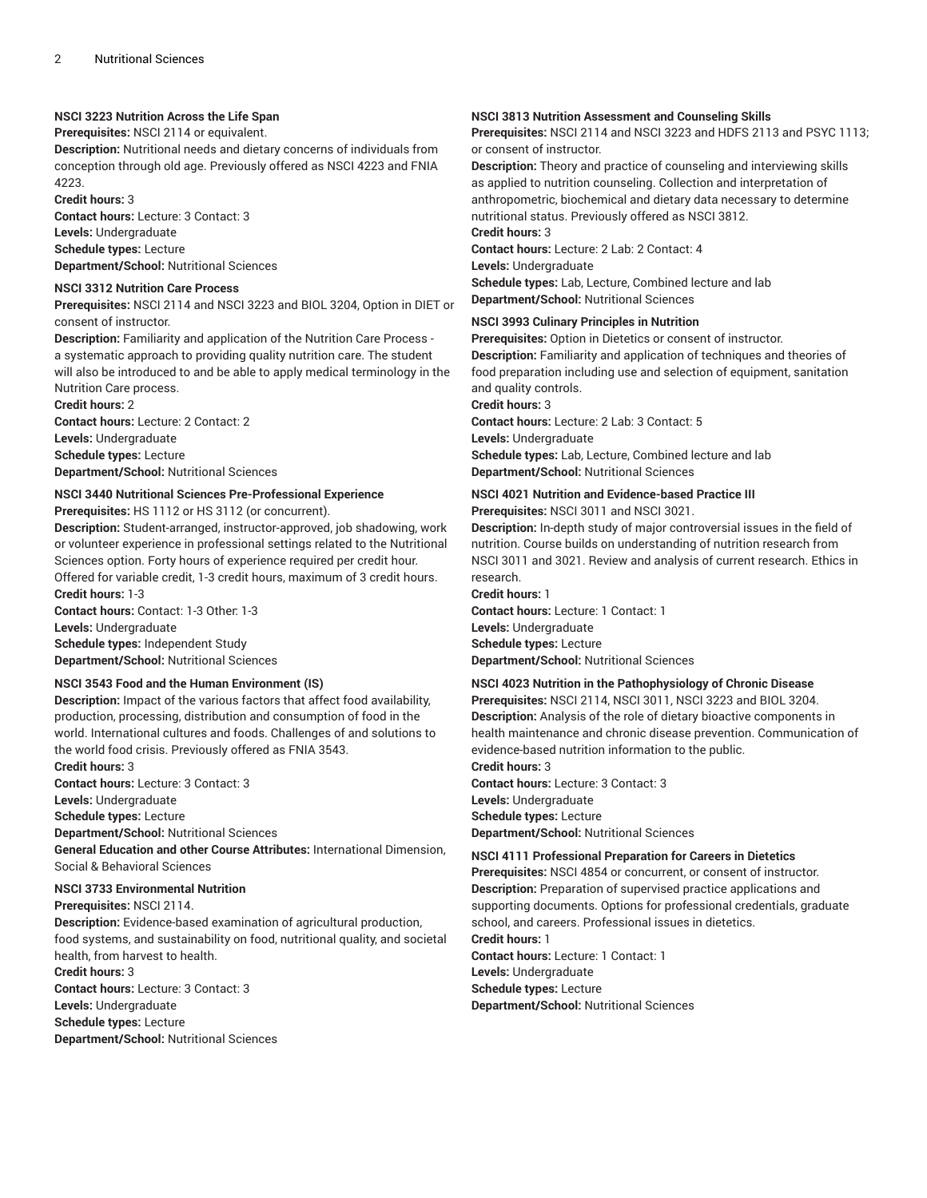## **NSCI 3223 Nutrition Across the Life Span**

**Prerequisites:** NSCI 2114 or equivalent.

**Description:** Nutritional needs and dietary concerns of individuals from conception through old age. Previously offered as NSCI 4223 and FNIA 4223.

**Credit hours:** 3

**Contact hours:** Lecture: 3 Contact: 3

**Levels:** Undergraduate **Schedule types:** Lecture

**Department/School:** Nutritional Sciences

#### **NSCI 3312 Nutrition Care Process**

**Prerequisites:** NSCI 2114 and NSCI 3223 and BIOL 3204, Option in DIET or consent of instructor.

**Description:** Familiarity and application of the Nutrition Care Process a systematic approach to providing quality nutrition care. The student will also be introduced to and be able to apply medical terminology in the Nutrition Care process.

**Credit hours:** 2 **Contact hours:** Lecture: 2 Contact: 2 **Levels:** Undergraduate **Schedule types:** Lecture

**Department/School:** Nutritional Sciences

#### **NSCI 3440 Nutritional Sciences Pre-Professional Experience**

**Prerequisites:** HS 1112 or HS 3112 (or concurrent).

**Description:** Student-arranged, instructor-approved, job shadowing, work or volunteer experience in professional settings related to the Nutritional Sciences option. Forty hours of experience required per credit hour. Offered for variable credit, 1-3 credit hours, maximum of 3 credit hours.

**Credit hours:** 1-3

**Contact hours:** Contact: 1-3 Other: 1-3 **Levels:** Undergraduate **Schedule types:** Independent Study

**Department/School:** Nutritional Sciences

# **NSCI 3543 Food and the Human Environment (IS)**

**Description:** Impact of the various factors that affect food availability, production, processing, distribution and consumption of food in the world. International cultures and foods. Challenges of and solutions to the world food crisis. Previously offered as FNIA 3543.

**Credit hours:** 3

**Contact hours:** Lecture: 3 Contact: 3

**Levels:** Undergraduate

**Schedule types:** Lecture

**Department/School:** Nutritional Sciences

**General Education and other Course Attributes:** International Dimension, Social & Behavioral Sciences

#### **NSCI 3733 Environmental Nutrition**

**Prerequisites:** NSCI 2114.

**Description:** Evidence-based examination of agricultural production, food systems, and sustainability on food, nutritional quality, and societal health, from harvest to health.

**Credit hours:** 3

**Contact hours:** Lecture: 3 Contact: 3 **Levels:** Undergraduate **Schedule types:** Lecture

**Department/School:** Nutritional Sciences

#### **NSCI 3813 Nutrition Assessment and Counseling Skills**

**Prerequisites:** NSCI 2114 and NSCI 3223 and HDFS 2113 and PSYC 1113; or consent of instructor.

**Description:** Theory and practice of counseling and interviewing skills as applied to nutrition counseling. Collection and interpretation of anthropometric, biochemical and dietary data necessary to determine nutritional status. Previously offered as NSCI 3812.

# **Credit hours:** 3

**Contact hours:** Lecture: 2 Lab: 2 Contact: 4

**Levels:** Undergraduate

**Schedule types:** Lab, Lecture, Combined lecture and lab **Department/School:** Nutritional Sciences

#### **NSCI 3993 Culinary Principles in Nutrition**

**Prerequisites:** Option in Dietetics or consent of instructor.

**Description:** Familiarity and application of techniques and theories of food preparation including use and selection of equipment, sanitation and quality controls.

**Credit hours:** 3

**Contact hours:** Lecture: 2 Lab: 3 Contact: 5

**Levels:** Undergraduate

**Schedule types:** Lab, Lecture, Combined lecture and lab **Department/School:** Nutritional Sciences

# **NSCI 4021 Nutrition and Evidence-based Practice III**

**Prerequisites:** NSCI 3011 and NSCI 3021.

**Description:** In-depth study of major controversial issues in the field of nutrition. Course builds on understanding of nutrition research from NSCI 3011 and 3021. Review and analysis of current research. Ethics in research.

**Credit hours:** 1

**Contact hours:** Lecture: 1 Contact: 1 **Levels:** Undergraduate **Schedule types:** Lecture **Department/School:** Nutritional Sciences

# **NSCI 4023 Nutrition in the Pathophysiology of Chronic Disease**

**Prerequisites:** NSCI 2114, NSCI 3011, NSCI 3223 and BIOL 3204. **Description:** Analysis of the role of dietary bioactive components in health maintenance and chronic disease prevention. Communication of evidence-based nutrition information to the public.

**Credit hours:** 3 **Contact hours:** Lecture: 3 Contact: 3 **Levels:** Undergraduate **Schedule types:** Lecture **Department/School:** Nutritional Sciences

#### **NSCI 4111 Professional Preparation for Careers in Dietetics**

**Prerequisites:** NSCI 4854 or concurrent, or consent of instructor. **Description:** Preparation of supervised practice applications and supporting documents. Options for professional credentials, graduate school, and careers. Professional issues in dietetics.

**Credit hours:** 1

**Contact hours:** Lecture: 1 Contact: 1 **Levels:** Undergraduate **Schedule types:** Lecture **Department/School:** Nutritional Sciences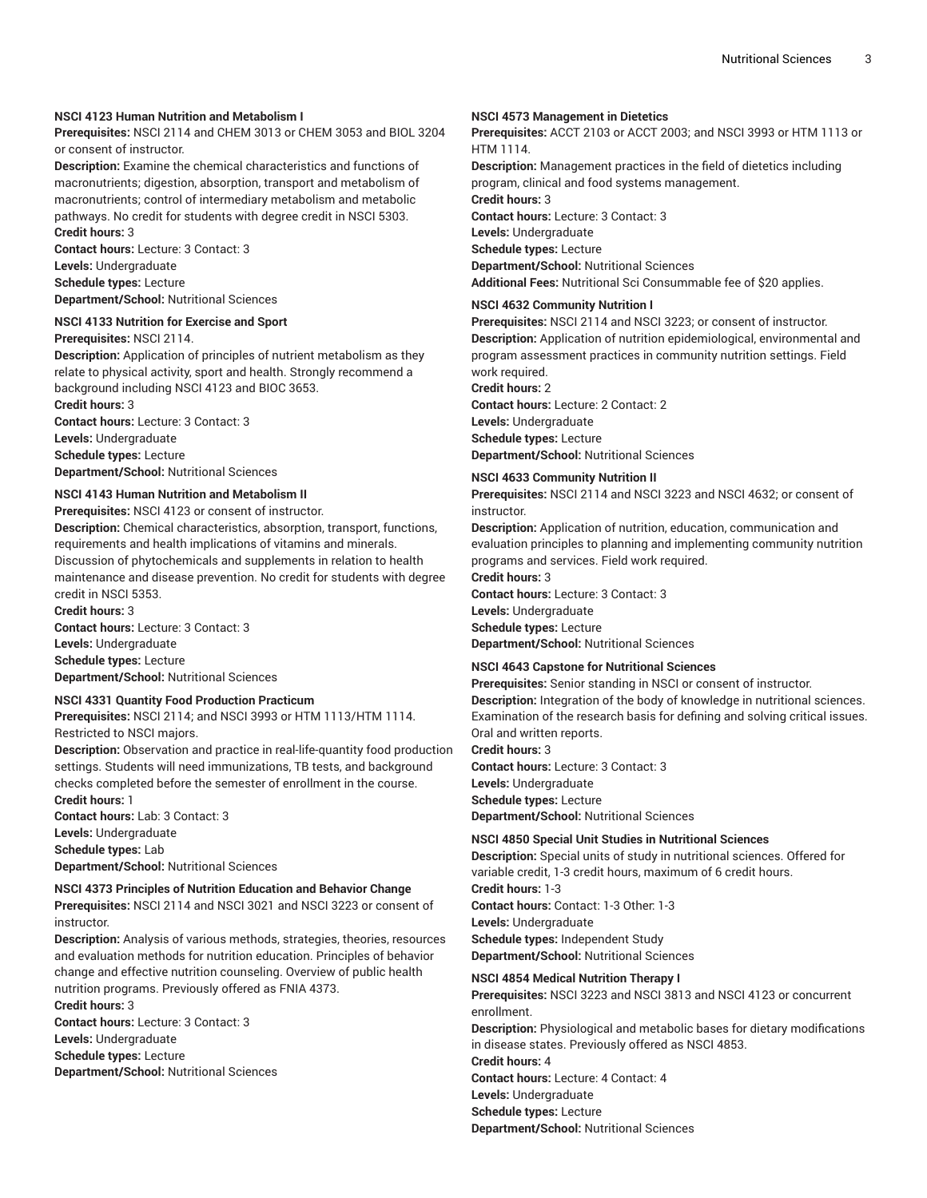# **NSCI 4123 Human Nutrition and Metabolism I**

**Prerequisites:** NSCI 2114 and CHEM 3013 or CHEM 3053 and BIOL 3204 or consent of instructor.

**Description:** Examine the chemical characteristics and functions of macronutrients; digestion, absorption, transport and metabolism of macronutrients; control of intermediary metabolism and metabolic pathways. No credit for students with degree credit in NSCI 5303. **Credit hours:** 3

**Contact hours:** Lecture: 3 Contact: 3 **Levels:** Undergraduate

**Schedule types:** Lecture

**Department/School:** Nutritional Sciences

#### **NSCI 4133 Nutrition for Exercise and Sport Prerequisites:** NSCI 2114.

**Description:** Application of principles of nutrient metabolism as they relate to physical activity, sport and health. Strongly recommend a background including NSCI 4123 and BIOC 3653. **Credit hours:** 3

**Contact hours:** Lecture: 3 Contact: 3 **Levels:** Undergraduate **Schedule types:** Lecture **Department/School:** Nutritional Sciences

# **NSCI 4143 Human Nutrition and Metabolism II**

**Prerequisites:** NSCI 4123 or consent of instructor.

**Description:** Chemical characteristics, absorption, transport, functions, requirements and health implications of vitamins and minerals. Discussion of phytochemicals and supplements in relation to health maintenance and disease prevention. No credit for students with degree credit in NSCI 5353.

**Credit hours:** 3 **Contact hours:** Lecture: 3 Contact: 3 **Levels:** Undergraduate **Schedule types:** Lecture **Department/School:** Nutritional Sciences

#### **NSCI 4331 Quantity Food Production Practicum**

**Prerequisites:** NSCI 2114; and NSCI 3993 or HTM 1113/HTM 1114. Restricted to NSCI majors.

**Description:** Observation and practice in real-life-quantity food production settings. Students will need immunizations, TB tests, and background checks completed before the semester of enrollment in the course. **Credit hours:** 1

**Contact hours:** Lab: 3 Contact: 3 **Levels:** Undergraduate **Schedule types:** Lab **Department/School:** Nutritional Sciences

#### **NSCI 4373 Principles of Nutrition Education and Behavior Change**

**Prerequisites:** NSCI 2114 and NSCI 3021 and NSCI 3223 or consent of instructor.

**Description:** Analysis of various methods, strategies, theories, resources and evaluation methods for nutrition education. Principles of behavior change and effective nutrition counseling. Overview of public health nutrition programs. Previously offered as FNIA 4373.

**Credit hours:** 3

**Contact hours:** Lecture: 3 Contact: 3

**Levels:** Undergraduate **Schedule types:** Lecture

**Department/School:** Nutritional Sciences

#### **NSCI 4573 Management in Dietetics**

**Prerequisites:** ACCT 2103 or ACCT 2003; and NSCI 3993 or HTM 1113 or HTM 1114.

**Description:** Management practices in the field of dietetics including program, clinical and food systems management. **Credit hours:** 3 **Contact hours:** Lecture: 3 Contact: 3 **Levels:** Undergraduate **Schedule types:** Lecture **Department/School:** Nutritional Sciences **Additional Fees:** Nutritional Sci Consummable fee of \$20 applies.

#### **NSCI 4632 Community Nutrition I**

**Prerequisites:** NSCI 2114 and NSCI 3223; or consent of instructor. **Description:** Application of nutrition epidemiological, environmental and program assessment practices in community nutrition settings. Field work required.

**Credit hours:** 2

**Contact hours:** Lecture: 2 Contact: 2 **Levels:** Undergraduate **Schedule types:** Lecture **Department/School:** Nutritional Sciences

#### **NSCI 4633 Community Nutrition II**

**Prerequisites:** NSCI 2114 and NSCI 3223 and NSCI 4632; or consent of instructor.

**Description:** Application of nutrition, education, communication and evaluation principles to planning and implementing community nutrition programs and services. Field work required.

**Credit hours:** 3

**Contact hours:** Lecture: 3 Contact: 3 **Levels:** Undergraduate

**Schedule types:** Lecture

**Department/School:** Nutritional Sciences

#### **NSCI 4643 Capstone for Nutritional Sciences**

**Prerequisites:** Senior standing in NSCI or consent of instructor. **Description:** Integration of the body of knowledge in nutritional sciences. Examination of the research basis for defining and solving critical issues. Oral and written reports.

**Credit hours:** 3 **Contact hours:** Lecture: 3 Contact: 3 **Levels:** Undergraduate **Schedule types:** Lecture **Department/School:** Nutritional Sciences

#### **NSCI 4850 Special Unit Studies in Nutritional Sciences**

**Description:** Special units of study in nutritional sciences. Offered for variable credit, 1-3 credit hours, maximum of 6 credit hours. **Credit hours:** 1-3 **Contact hours:** Contact: 1-3 Other: 1-3 **Levels:** Undergraduate **Schedule types:** Independent Study **Department/School:** Nutritional Sciences

#### **NSCI 4854 Medical Nutrition Therapy I**

**Prerequisites:** NSCI 3223 and NSCI 3813 and NSCI 4123 or concurrent enrollment. **Description:** Physiological and metabolic bases for dietary modifications in disease states. Previously offered as NSCI 4853. **Credit hours:** 4 **Contact hours:** Lecture: 4 Contact: 4 **Levels:** Undergraduate **Schedule types:** Lecture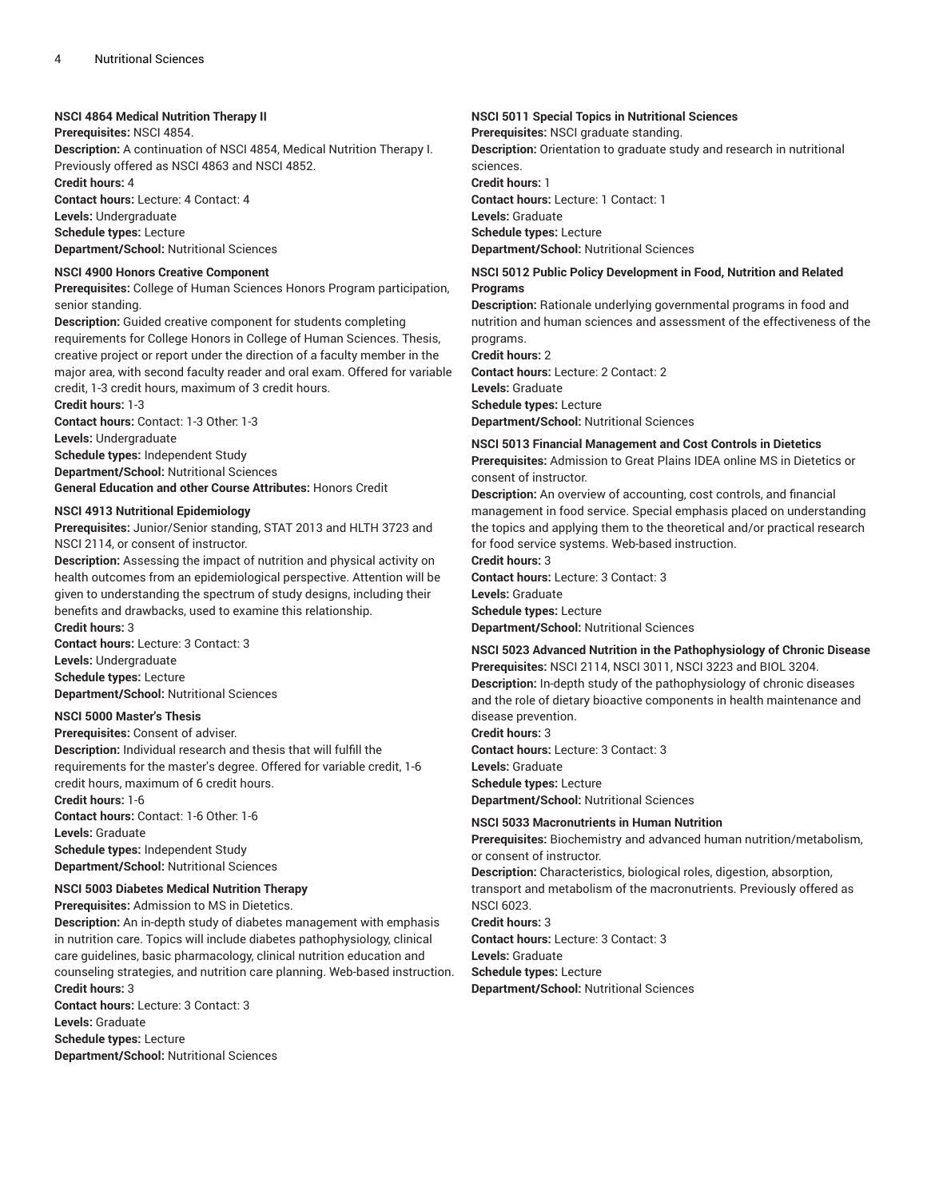#### **NSCI 4864 Medical Nutrition Therapy II**

**Prerequisites:** NSCI 4854.

**Description:** A continuation of NSCI 4854, Medical Nutrition Therapy I. Previously offered as NSCI 4863 and NSCI 4852.

**Credit hours:** 4

**Contact hours:** Lecture: 4 Contact: 4

**Levels:** Undergraduate

**Schedule types:** Lecture **Department/School:** Nutritional Sciences

#### **NSCI 4900 Honors Creative Component**

**Prerequisites:** College of Human Sciences Honors Program participation, senior standing.

**Description:** Guided creative component for students completing requirements for College Honors in College of Human Sciences. Thesis, creative project or report under the direction of a faculty member in the major area, with second faculty reader and oral exam. Offered for variable credit, 1-3 credit hours, maximum of 3 credit hours.

**Credit hours:** 1-3 **Contact hours:** Contact: 1-3 Other: 1-3 **Levels:** Undergraduate **Schedule types:** Independent Study **Department/School:** Nutritional Sciences **General Education and other Course Attributes:** Honors Credit

#### **NSCI 4913 Nutritional Epidemiology**

**Prerequisites:** Junior/Senior standing, STAT 2013 and HLTH 3723 and NSCI 2114, or consent of instructor.

**Description:** Assessing the impact of nutrition and physical activity on health outcomes from an epidemiological perspective. Attention will be given to understanding the spectrum of study designs, including their benefits and drawbacks, used to examine this relationship. **Credit hours:** 3

**Contact hours:** Lecture: 3 Contact: 3 **Levels:** Undergraduate **Schedule types:** Lecture **Department/School:** Nutritional Sciences

#### **NSCI 5000 Master's Thesis**

**Prerequisites:** Consent of adviser.

**Description:** Individual research and thesis that will fulfill the requirements for the master's degree. Offered for variable credit, 1-6 credit hours, maximum of 6 credit hours. **Credit hours:** 1-6 **Contact hours:** Contact: 1-6 Other: 1-6

**Levels:** Graduate **Schedule types:** Independent Study **Department/School:** Nutritional Sciences

#### **NSCI 5003 Diabetes Medical Nutrition Therapy**

**Prerequisites:** Admission to MS in Dietetics.

**Description:** An in-depth study of diabetes management with emphasis in nutrition care. Topics will include diabetes pathophysiology, clinical care guidelines, basic pharmacology, clinical nutrition education and counseling strategies, and nutrition care planning. Web-based instruction. **Credit hours:** 3

**Contact hours:** Lecture: 3 Contact: 3 **Levels:** Graduate **Schedule types:** Lecture

**Department/School:** Nutritional Sciences

# **NSCI 5011 Special Topics in Nutritional Sciences**

**Prerequisites:** NSCI graduate standing.

**Description:** Orientation to graduate study and research in nutritional sciences.

**Credit hours:** 1

**Contact hours:** Lecture: 1 Contact: 1 **Levels:** Graduate

**Schedule types:** Lecture

**Department/School:** Nutritional Sciences

#### **NSCI 5012 Public Policy Development in Food, Nutrition and Related Programs**

**Description:** Rationale underlying governmental programs in food and nutrition and human sciences and assessment of the effectiveness of the programs.

**Credit hours:** 2 **Contact hours:** Lecture: 2 Contact: 2 **Levels:** Graduate **Schedule types:** Lecture **Department/School:** Nutritional Sciences

#### **NSCI 5013 Financial Management and Cost Controls in Dietetics**

**Prerequisites:** Admission to Great Plains IDEA online MS in Dietetics or consent of instructor.

**Description:** An overview of accounting, cost controls, and financial management in food service. Special emphasis placed on understanding the topics and applying them to the theoretical and/or practical research for food service systems. Web-based instruction.

**Credit hours:** 3 **Contact hours:** Lecture: 3 Contact: 3 **Levels:** Graduate **Schedule types:** Lecture **Department/School:** Nutritional Sciences

# **NSCI 5023 Advanced Nutrition in the Pathophysiology of Chronic Disease**

**Prerequisites:** NSCI 2114, NSCI 3011, NSCI 3223 and BIOL 3204. **Description:** In-depth study of the pathophysiology of chronic diseases and the role of dietary bioactive components in health maintenance and disease prevention.

**Credit hours:** 3 **Contact hours:** Lecture: 3 Contact: 3 **Levels:** Graduate **Schedule types:** Lecture **Department/School:** Nutritional Sciences

#### **NSCI 5033 Macronutrients in Human Nutrition**

**Prerequisites:** Biochemistry and advanced human nutrition/metabolism, or consent of instructor. **Description:** Characteristics, biological roles, digestion, absorption, transport and metabolism of the macronutrients. Previously offered as NSCI 6023. **Credit hours:** 3 **Contact hours:** Lecture: 3 Contact: 3 **Levels:** Graduate **Schedule types:** Lecture **Department/School:** Nutritional Sciences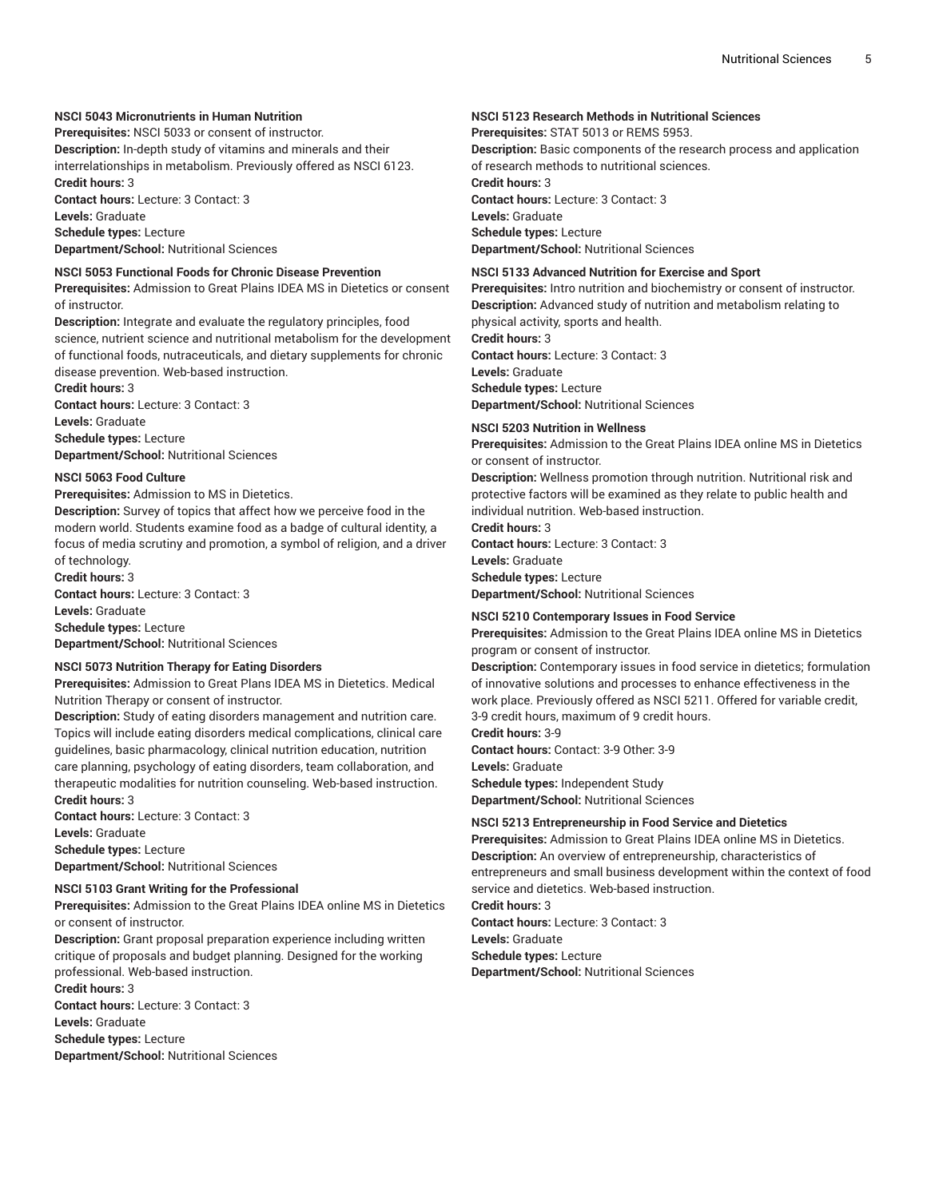# **NSCI 5043 Micronutrients in Human Nutrition**

**Prerequisites:** NSCI 5033 or consent of instructor.

**Description:** In-depth study of vitamins and minerals and their interrelationships in metabolism. Previously offered as NSCI 6123. **Credit hours:** 3

**Contact hours:** Lecture: 3 Contact: 3 **Levels:** Graduate **Schedule types:** Lecture

**Department/School:** Nutritional Sciences

#### **NSCI 5053 Functional Foods for Chronic Disease Prevention**

**Prerequisites:** Admission to Great Plains IDEA MS in Dietetics or consent of instructor.

**Description:** Integrate and evaluate the regulatory principles, food science, nutrient science and nutritional metabolism for the development of functional foods, nutraceuticals, and dietary supplements for chronic disease prevention. Web-based instruction.

**Credit hours:** 3 **Contact hours:** Lecture: 3 Contact: 3

**Levels:** Graduate

**Schedule types:** Lecture

**Department/School:** Nutritional Sciences

# **NSCI 5063 Food Culture**

**Prerequisites:** Admission to MS in Dietetics.

**Description:** Survey of topics that affect how we perceive food in the modern world. Students examine food as a badge of cultural identity, a focus of media scrutiny and promotion, a symbol of religion, and a driver of technology.

**Credit hours:** 3

**Contact hours:** Lecture: 3 Contact: 3 **Levels:** Graduate **Schedule types:** Lecture **Department/School:** Nutritional Sciences

#### **NSCI 5073 Nutrition Therapy for Eating Disorders**

**Prerequisites:** Admission to Great Plans IDEA MS in Dietetics. Medical Nutrition Therapy or consent of instructor.

**Description:** Study of eating disorders management and nutrition care. Topics will include eating disorders medical complications, clinical care guidelines, basic pharmacology, clinical nutrition education, nutrition care planning, psychology of eating disorders, team collaboration, and therapeutic modalities for nutrition counseling. Web-based instruction. **Credit hours:** 3

**Contact hours:** Lecture: 3 Contact: 3 **Levels:** Graduate **Schedule types:** Lecture **Department/School:** Nutritional Sciences

#### **NSCI 5103 Grant Writing for the Professional**

**Prerequisites:** Admission to the Great Plains IDEA online MS in Dietetics or consent of instructor.

**Description:** Grant proposal preparation experience including written critique of proposals and budget planning. Designed for the working professional. Web-based instruction.

**Credit hours:** 3

**Contact hours:** Lecture: 3 Contact: 3

**Levels:** Graduate

**Schedule types:** Lecture

**Department/School:** Nutritional Sciences

#### **NSCI 5123 Research Methods in Nutritional Sciences**

**Prerequisites:** STAT 5013 or REMS 5953.

**Description:** Basic components of the research process and application of research methods to nutritional sciences.

**Credit hours:** 3

**Contact hours:** Lecture: 3 Contact: 3 **Levels:** Graduate **Schedule types:** Lecture

**Department/School:** Nutritional Sciences

# **NSCI 5133 Advanced Nutrition for Exercise and Sport**

**Prerequisites:** Intro nutrition and biochemistry or consent of instructor. **Description:** Advanced study of nutrition and metabolism relating to physical activity, sports and health.

**Credit hours:** 3

**Contact hours:** Lecture: 3 Contact: 3

**Levels:** Graduate

**Schedule types:** Lecture

**Department/School:** Nutritional Sciences

#### **NSCI 5203 Nutrition in Wellness**

**Prerequisites:** Admission to the Great Plains IDEA online MS in Dietetics or consent of instructor.

**Description:** Wellness promotion through nutrition. Nutritional risk and protective factors will be examined as they relate to public health and individual nutrition. Web-based instruction.

**Credit hours:** 3

**Contact hours:** Lecture: 3 Contact: 3

**Levels:** Graduate

**Schedule types:** Lecture

**Department/School:** Nutritional Sciences

#### **NSCI 5210 Contemporary Issues in Food Service**

**Prerequisites:** Admission to the Great Plains IDEA online MS in Dietetics program or consent of instructor.

**Description:** Contemporary issues in food service in dietetics; formulation of innovative solutions and processes to enhance effectiveness in the work place. Previously offered as NSCI 5211. Offered for variable credit, 3-9 credit hours, maximum of 9 credit hours.

**Credit hours:** 3-9 **Contact hours:** Contact: 3-9 Other: 3-9 **Levels:** Graduate **Schedule types:** Independent Study **Department/School:** Nutritional Sciences

#### **NSCI 5213 Entrepreneurship in Food Service and Dietetics**

**Prerequisites:** Admission to Great Plains IDEA online MS in Dietetics. **Description:** An overview of entrepreneurship, characteristics of entrepreneurs and small business development within the context of food service and dietetics. Web-based instruction. **Credit hours:** 3 **Contact hours:** Lecture: 3 Contact: 3 **Levels:** Graduate **Schedule types:** Lecture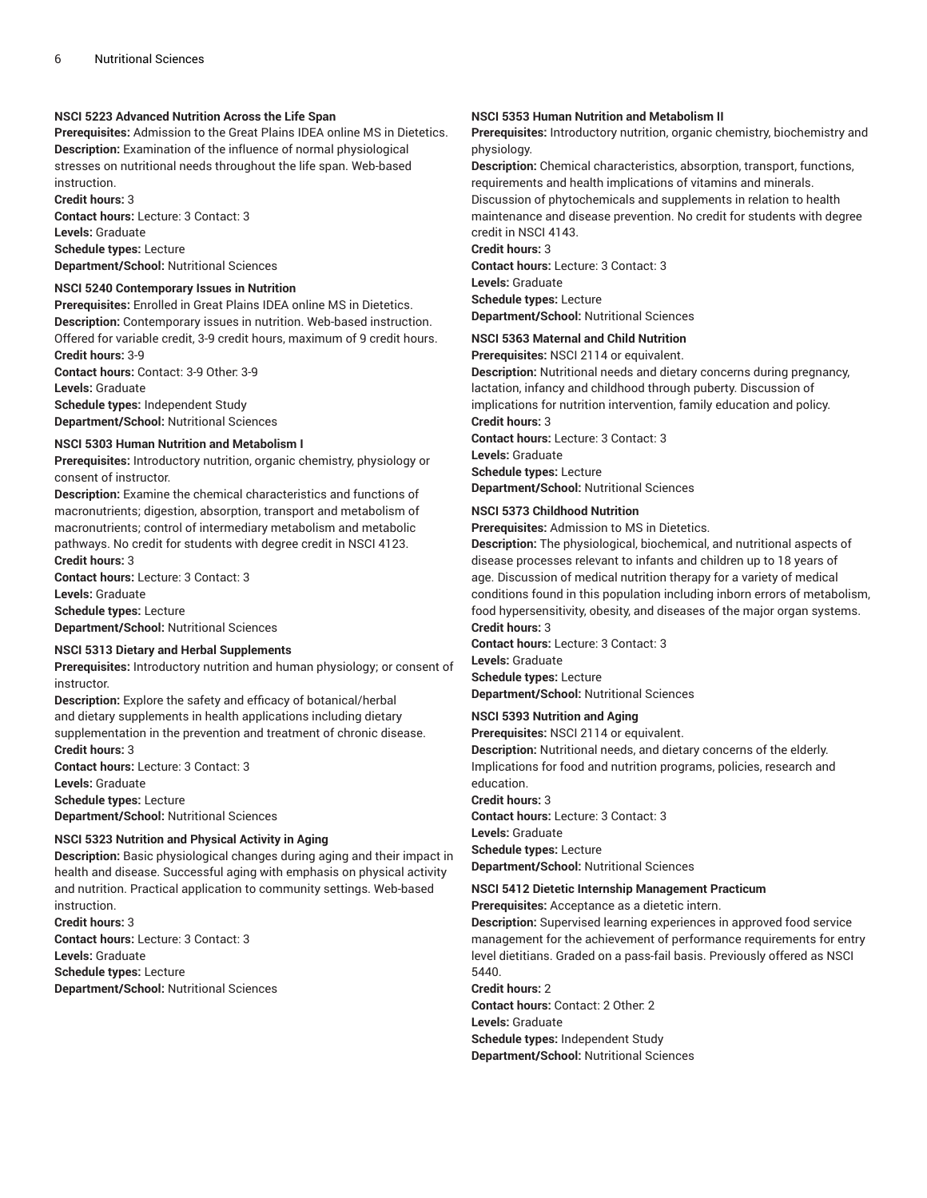# **NSCI 5223 Advanced Nutrition Across the Life Span**

**Prerequisites:** Admission to the Great Plains IDEA online MS in Dietetics. **Description:** Examination of the influence of normal physiological stresses on nutritional needs throughout the life span. Web-based instruction.

**Credit hours:** 3 **Contact hours:** Lecture: 3 Contact: 3 **Levels:** Graduate **Schedule types:** Lecture **Department/School:** Nutritional Sciences

#### **NSCI 5240 Contemporary Issues in Nutrition**

**Prerequisites:** Enrolled in Great Plains IDEA online MS in Dietetics. **Description:** Contemporary issues in nutrition. Web-based instruction. Offered for variable credit, 3-9 credit hours, maximum of 9 credit hours.

**Credit hours:** 3-9 **Contact hours:** Contact: 3-9 Other: 3-9 **Levels:** Graduate **Schedule types:** Independent Study **Department/School:** Nutritional Sciences

#### **NSCI 5303 Human Nutrition and Metabolism I**

**Prerequisites:** Introductory nutrition, organic chemistry, physiology or consent of instructor.

**Description:** Examine the chemical characteristics and functions of macronutrients; digestion, absorption, transport and metabolism of macronutrients; control of intermediary metabolism and metabolic pathways. No credit for students with degree credit in NSCI 4123. **Credit hours:** 3

**Contact hours:** Lecture: 3 Contact: 3 **Levels:** Graduate **Schedule types:** Lecture

**Department/School:** Nutritional Sciences

# **NSCI 5313 Dietary and Herbal Supplements**

**Prerequisites:** Introductory nutrition and human physiology; or consent of instructor.

**Description:** Explore the safety and efficacy of botanical/herbal and dietary supplements in health applications including dietary supplementation in the prevention and treatment of chronic disease. **Credit hours:** 3

**Contact hours:** Lecture: 3 Contact: 3

**Levels:** Graduate

**Schedule types:** Lecture **Department/School:** Nutritional Sciences

# **NSCI 5323 Nutrition and Physical Activity in Aging**

**Description:** Basic physiological changes during aging and their impact in health and disease. Successful aging with emphasis on physical activity and nutrition. Practical application to community settings. Web-based instruction.

**Credit hours:** 3 **Contact hours:** Lecture: 3 Contact: 3 **Levels:** Graduate **Schedule types:** Lecture **Department/School:** Nutritional Sciences

#### **NSCI 5353 Human Nutrition and Metabolism II**

**Prerequisites:** Introductory nutrition, organic chemistry, biochemistry and physiology.

**Description:** Chemical characteristics, absorption, transport, functions, requirements and health implications of vitamins and minerals. Discussion of phytochemicals and supplements in relation to health maintenance and disease prevention. No credit for students with degree credit in NSCI 4143.

**Credit hours:** 3 **Contact hours:** Lecture: 3 Contact: 3 **Levels:** Graduate **Schedule types:** Lecture **Department/School:** Nutritional Sciences

# **NSCI 5363 Maternal and Child Nutrition**

**Prerequisites:** NSCI 2114 or equivalent.

**Description:** Nutritional needs and dietary concerns during pregnancy, lactation, infancy and childhood through puberty. Discussion of implications for nutrition intervention, family education and policy. **Credit hours:** 3 **Contact hours:** Lecture: 3 Contact: 3 **Levels:** Graduate

**Schedule types:** Lecture

**Department/School:** Nutritional Sciences

#### **NSCI 5373 Childhood Nutrition**

**Prerequisites:** Admission to MS in Dietetics.

**Description:** The physiological, biochemical, and nutritional aspects of disease processes relevant to infants and children up to 18 years of age. Discussion of medical nutrition therapy for a variety of medical conditions found in this population including inborn errors of metabolism, food hypersensitivity, obesity, and diseases of the major organ systems. **Credit hours:** 3

**Contact hours:** Lecture: 3 Contact: 3 **Levels:** Graduate **Schedule types:** Lecture **Department/School:** Nutritional Sciences

# **NSCI 5393 Nutrition and Aging**

**Prerequisites:** NSCI 2114 or equivalent.

**Description:** Nutritional needs, and dietary concerns of the elderly. Implications for food and nutrition programs, policies, research and education.

**Credit hours:** 3 **Contact hours:** Lecture: 3 Contact: 3 **Levels:** Graduate

**Schedule types:** Lecture **Department/School:** Nutritional Sciences

#### **NSCI 5412 Dietetic Internship Management Practicum**

**Prerequisites:** Acceptance as a dietetic intern.

**Description:** Supervised learning experiences in approved food service management for the achievement of performance requirements for entry level dietitians. Graded on a pass-fail basis. Previously offered as NSCI 5440.

**Credit hours:** 2 **Contact hours:** Contact: 2 Other: 2 **Levels:** Graduate **Schedule types:** Independent Study **Department/School:** Nutritional Sciences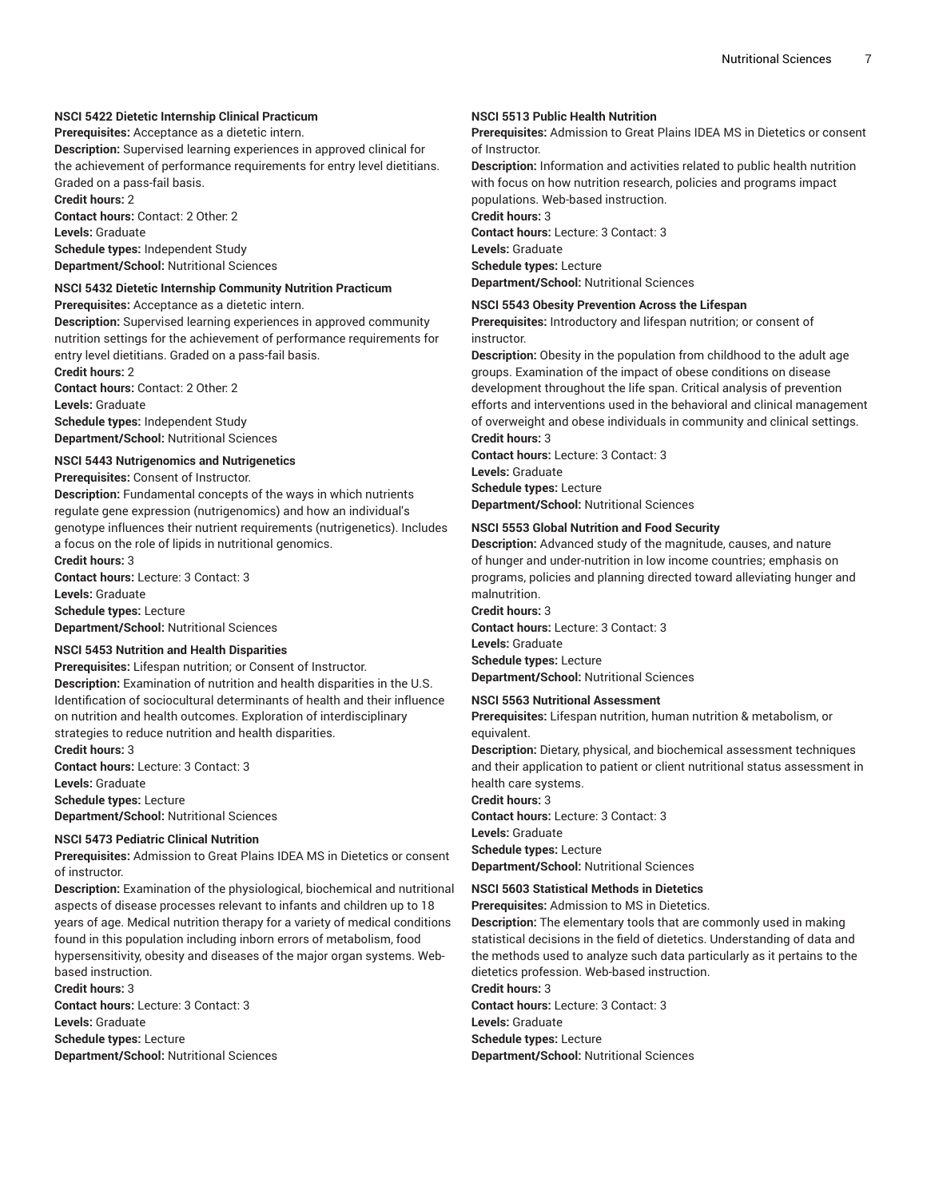## **NSCI 5422 Dietetic Internship Clinical Practicum**

**Prerequisites:** Acceptance as a dietetic intern.

**Description:** Supervised learning experiences in approved clinical for the achievement of performance requirements for entry level dietitians. Graded on a pass-fail basis.

**Credit hours:** 2 **Contact hours:** Contact: 2 Other: 2 **Levels:** Graduate **Schedule types:** Independent Study **Department/School:** Nutritional Sciences

#### **NSCI 5432 Dietetic Internship Community Nutrition Practicum**

**Prerequisites:** Acceptance as a dietetic intern.

**Description:** Supervised learning experiences in approved community nutrition settings for the achievement of performance requirements for entry level dietitians. Graded on a pass-fail basis.

**Credit hours:** 2 **Contact hours:** Contact: 2 Other: 2 **Levels:** Graduate **Schedule types:** Independent Study **Department/School:** Nutritional Sciences

#### **NSCI 5443 Nutrigenomics and Nutrigenetics**

**Prerequisites:** Consent of Instructor.

**Description:** Fundamental concepts of the ways in which nutrients regulate gene expression (nutrigenomics) and how an individual's genotype influences their nutrient requirements (nutrigenetics). Includes a focus on the role of lipids in nutritional genomics. **Credit hours:** 3

**Contact hours:** Lecture: 3 Contact: 3 **Levels:** Graduate **Schedule types:** Lecture **Department/School:** Nutritional Sciences

# **NSCI 5453 Nutrition and Health Disparities**

**Prerequisites:** Lifespan nutrition; or Consent of Instructor. **Description:** Examination of nutrition and health disparities in the U.S. Identification of sociocultural determinants of health and their influence on nutrition and health outcomes. Exploration of interdisciplinary strategies to reduce nutrition and health disparities. **Credit hours:** 3

**Contact hours:** Lecture: 3 Contact: 3 **Levels:** Graduate **Schedule types:** Lecture **Department/School:** Nutritional Sciences

#### **NSCI 5473 Pediatric Clinical Nutrition**

**Prerequisites:** Admission to Great Plains IDEA MS in Dietetics or consent of instructor.

**Description:** Examination of the physiological, biochemical and nutritional aspects of disease processes relevant to infants and children up to 18 years of age. Medical nutrition therapy for a variety of medical conditions found in this population including inborn errors of metabolism, food hypersensitivity, obesity and diseases of the major organ systems. Webbased instruction.

**Credit hours:** 3

**Contact hours:** Lecture: 3 Contact: 3 **Levels:** Graduate **Schedule types:** Lecture **Department/School:** Nutritional Sciences

#### **NSCI 5513 Public Health Nutrition**

**Prerequisites:** Admission to Great Plains IDEA MS in Dietetics or consent of Instructor.

**Description:** Information and activities related to public health nutrition with focus on how nutrition research, policies and programs impact populations. Web-based instruction.

**Credit hours:** 3

**Contact hours:** Lecture: 3 Contact: 3 **Levels:** Graduate

**Schedule types:** Lecture

**Department/School:** Nutritional Sciences

#### **NSCI 5543 Obesity Prevention Across the Lifespan**

**Prerequisites:** Introductory and lifespan nutrition; or consent of instructor.

**Description:** Obesity in the population from childhood to the adult age groups. Examination of the impact of obese conditions on disease development throughout the life span. Critical analysis of prevention efforts and interventions used in the behavioral and clinical management of overweight and obese individuals in community and clinical settings. **Credit hours:** 3

**Contact hours:** Lecture: 3 Contact: 3 **Levels:** Graduate **Schedule types:** Lecture **Department/School:** Nutritional Sciences

#### **NSCI 5553 Global Nutrition and Food Security**

**Description:** Advanced study of the magnitude, causes, and nature of hunger and under-nutrition in low income countries; emphasis on programs, policies and planning directed toward alleviating hunger and malnutrition.

**Credit hours:** 3

**Contact hours:** Lecture: 3 Contact: 3 **Levels:** Graduate **Schedule types:** Lecture **Department/School:** Nutritional Sciences

#### **NSCI 5563 Nutritional Assessment**

**Prerequisites:** Lifespan nutrition, human nutrition & metabolism, or equivalent.

**Description:** Dietary, physical, and biochemical assessment techniques and their application to patient or client nutritional status assessment in health care systems.

**Credit hours:** 3 **Contact hours:** Lecture: 3 Contact: 3 **Levels:** Graduate **Schedule types:** Lecture

**Department/School:** Nutritional Sciences

# **NSCI 5603 Statistical Methods in Dietetics**

**Prerequisites:** Admission to MS in Dietetics.

**Description:** The elementary tools that are commonly used in making statistical decisions in the field of dietetics. Understanding of data and the methods used to analyze such data particularly as it pertains to the dietetics profession. Web-based instruction.

**Credit hours:** 3

**Contact hours:** Lecture: 3 Contact: 3

**Levels:** Graduate

**Schedule types:** Lecture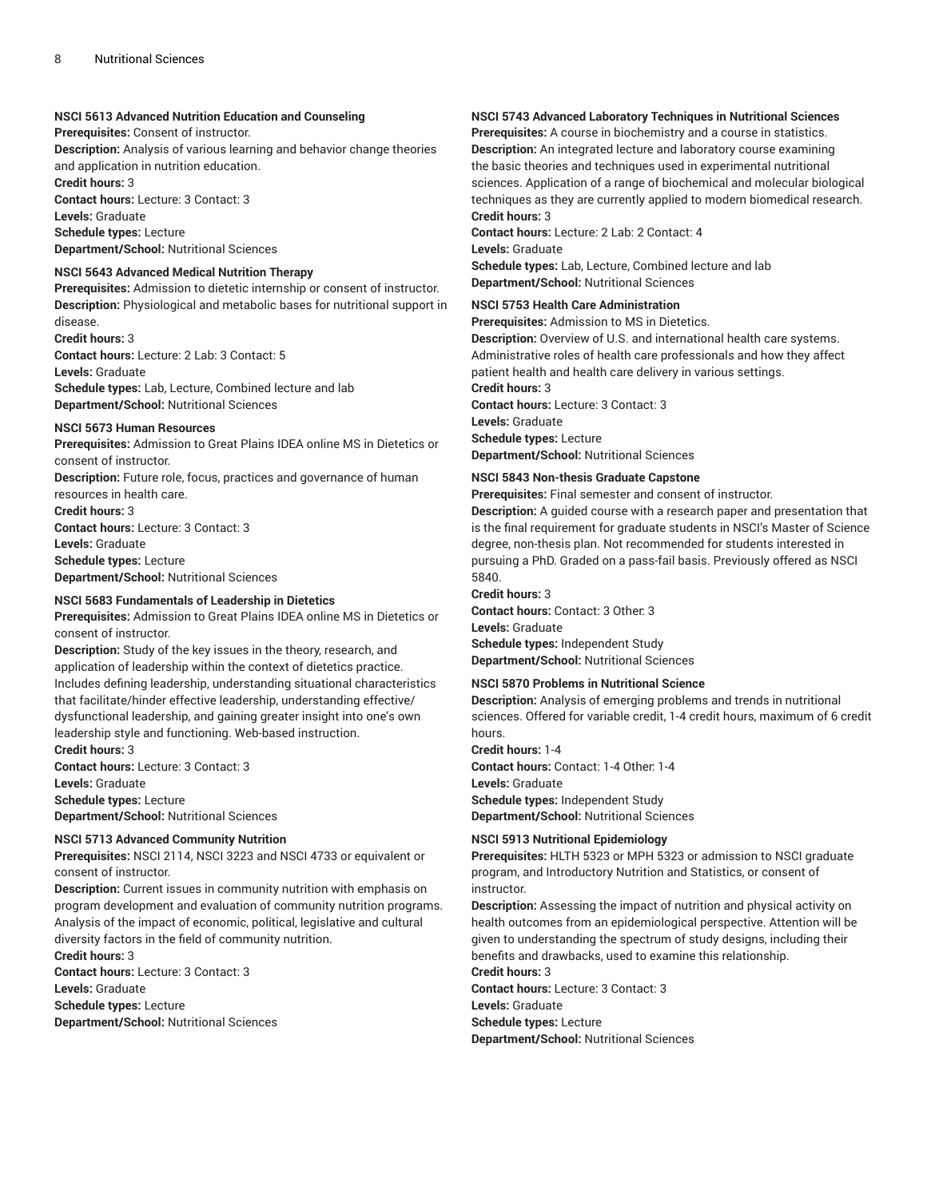#### **NSCI 5613 Advanced Nutrition Education and Counseling**

**Prerequisites:** Consent of instructor.

**Description:** Analysis of various learning and behavior change theories and application in nutrition education.

**Credit hours:** 3

**Contact hours:** Lecture: 3 Contact: 3 **Levels:** Graduate

**Schedule types:** Lecture

**Department/School:** Nutritional Sciences

# **NSCI 5643 Advanced Medical Nutrition Therapy**

**Prerequisites:** Admission to dietetic internship or consent of instructor. **Description:** Physiological and metabolic bases for nutritional support in disease.

**Credit hours:** 3 **Contact hours:** Lecture: 2 Lab: 3 Contact: 5 **Levels:** Graduate **Schedule types:** Lab, Lecture, Combined lecture and lab **Department/School:** Nutritional Sciences

#### **NSCI 5673 Human Resources**

**Prerequisites:** Admission to Great Plains IDEA online MS in Dietetics or consent of instructor.

**Description:** Future role, focus, practices and governance of human resources in health care.

**Credit hours:** 3

**Contact hours:** Lecture: 3 Contact: 3 **Levels:** Graduate **Schedule types:** Lecture **Department/School:** Nutritional Sciences

#### **NSCI 5683 Fundamentals of Leadership in Dietetics**

**Prerequisites:** Admission to Great Plains IDEA online MS in Dietetics or consent of instructor.

**Description:** Study of the key issues in the theory, research, and application of leadership within the context of dietetics practice. Includes defining leadership, understanding situational characteristics that facilitate/hinder effective leadership, understanding effective/ dysfunctional leadership, and gaining greater insight into one's own leadership style and functioning. Web-based instruction. **Credit hours:** 3

**Contact hours:** Lecture: 3 Contact: 3 **Levels:** Graduate **Schedule types:** Lecture **Department/School:** Nutritional Sciences

# **NSCI 5713 Advanced Community Nutrition**

**Prerequisites:** NSCI 2114, NSCI 3223 and NSCI 4733 or equivalent or consent of instructor.

**Description:** Current issues in community nutrition with emphasis on program development and evaluation of community nutrition programs. Analysis of the impact of economic, political, legislative and cultural diversity factors in the field of community nutrition.

**Credit hours:** 3 **Contact hours:** Lecture: 3 Contact: 3 **Levels:** Graduate **Schedule types:** Lecture **Department/School:** Nutritional Sciences

# **NSCI 5743 Advanced Laboratory Techniques in Nutritional Sciences**

**Prerequisites:** A course in biochemistry and a course in statistics. **Description:** An integrated lecture and laboratory course examining the basic theories and techniques used in experimental nutritional sciences. Application of a range of biochemical and molecular biological techniques as they are currently applied to modern biomedical research. **Credit hours:** 3

**Contact hours:** Lecture: 2 Lab: 2 Contact: 4 **Levels:** Graduate **Schedule types:** Lab, Lecture, Combined lecture and lab **Department/School:** Nutritional Sciences

#### **NSCI 5753 Health Care Administration**

**Prerequisites:** Admission to MS in Dietetics.

**Description:** Overview of U.S. and international health care systems. Administrative roles of health care professionals and how they affect patient health and health care delivery in various settings.

**Credit hours:** 3 **Contact hours:** Lecture: 3 Contact: 3

**Levels:** Graduate **Schedule types:** Lecture

**Department/School:** Nutritional Sciences

#### **NSCI 5843 Non-thesis Graduate Capstone**

**Prerequisites:** Final semester and consent of instructor.

**Description:** A guided course with a research paper and presentation that is the final requirement for graduate students in NSCI's Master of Science degree, non-thesis plan. Not recommended for students interested in pursuing a PhD. Graded on a pass-fail basis. Previously offered as NSCI 5840.

#### **Credit hours:** 3

**Contact hours:** Contact: 3 Other: 3 **Levels:** Graduate **Schedule types:** Independent Study **Department/School:** Nutritional Sciences

#### **NSCI 5870 Problems in Nutritional Science**

**Description:** Analysis of emerging problems and trends in nutritional sciences. Offered for variable credit, 1-4 credit hours, maximum of 6 credit hours.

**Credit hours:** 1-4 **Contact hours:** Contact: 1-4 Other: 1-4 **Levels:** Graduate **Schedule types:** Independent Study **Department/School:** Nutritional Sciences

# **NSCI 5913 Nutritional Epidemiology**

**Prerequisites:** HLTH 5323 or MPH 5323 or admission to NSCI graduate program, and Introductory Nutrition and Statistics, or consent of instructor.

**Description:** Assessing the impact of nutrition and physical activity on health outcomes from an epidemiological perspective. Attention will be given to understanding the spectrum of study designs, including their benefits and drawbacks, used to examine this relationship.

**Credit hours:** 3 **Contact hours:** Lecture: 3 Contact: 3 **Levels:** Graduate **Schedule types:** Lecture **Department/School:** Nutritional Sciences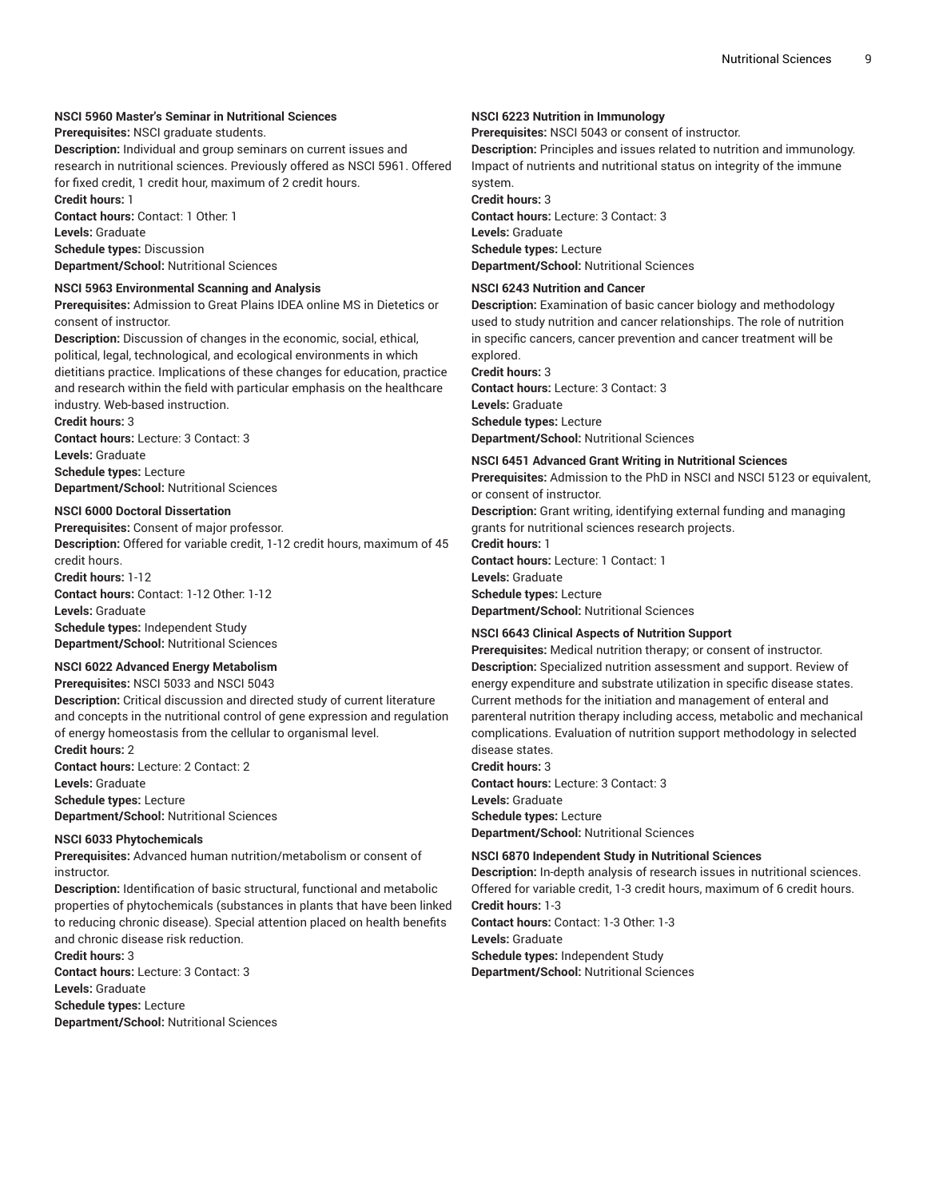# **NSCI 5960 Master's Seminar in Nutritional Sciences**

**Prerequisites:** NSCI graduate students.

**Description:** Individual and group seminars on current issues and research in nutritional sciences. Previously offered as NSCI 5961. Offered for fixed credit, 1 credit hour, maximum of 2 credit hours.

**Credit hours:** 1 **Contact hours:** Contact: 1 Other: 1 **Levels:** Graduate

**Schedule types:** Discussion

**Department/School:** Nutritional Sciences

#### **NSCI 5963 Environmental Scanning and Analysis**

**Prerequisites:** Admission to Great Plains IDEA online MS in Dietetics or consent of instructor.

**Description:** Discussion of changes in the economic, social, ethical, political, legal, technological, and ecological environments in which dietitians practice. Implications of these changes for education, practice and research within the field with particular emphasis on the healthcare industry. Web-based instruction.

**Credit hours:** 3 **Contact hours:** Lecture: 3 Contact: 3

**Levels:** Graduate **Schedule types:** Lecture

**Department/School:** Nutritional Sciences

#### **NSCI 6000 Doctoral Dissertation**

**Prerequisites:** Consent of major professor. **Description:** Offered for variable credit, 1-12 credit hours, maximum of 45 credit hours.

**Credit hours:** 1-12 **Contact hours:** Contact: 1-12 Other: 1-12 **Levels:** Graduate **Schedule types:** Independent Study **Department/School:** Nutritional Sciences

#### **NSCI 6022 Advanced Energy Metabolism**

**Prerequisites:** NSCI 5033 and NSCI 5043

**Description:** Critical discussion and directed study of current literature and concepts in the nutritional control of gene expression and regulation of energy homeostasis from the cellular to organismal level. **Credit hours:** 2

**Contact hours:** Lecture: 2 Contact: 2 **Levels:** Graduate **Schedule types:** Lecture **Department/School:** Nutritional Sciences

## **NSCI 6033 Phytochemicals**

**Prerequisites:** Advanced human nutrition/metabolism or consent of instructor.

**Description:** Identification of basic structural, functional and metabolic properties of phytochemicals (substances in plants that have been linked to reducing chronic disease). Special attention placed on health benefits and chronic disease risk reduction.

**Credit hours:** 3 **Contact hours:** Lecture: 3 Contact: 3 **Levels:** Graduate **Schedule types:** Lecture **Department/School:** Nutritional Sciences

#### **NSCI 6223 Nutrition in Immunology**

**Prerequisites:** NSCI 5043 or consent of instructor.

**Description:** Principles and issues related to nutrition and immunology. Impact of nutrients and nutritional status on integrity of the immune system.

**Credit hours:** 3 **Contact hours:** Lecture: 3 Contact: 3 **Levels:** Graduate **Schedule types:** Lecture **Department/School:** Nutritional Sciences

#### **NSCI 6243 Nutrition and Cancer**

**Description:** Examination of basic cancer biology and methodology used to study nutrition and cancer relationships. The role of nutrition in specific cancers, cancer prevention and cancer treatment will be explored.

**Credit hours:** 3

**Contact hours:** Lecture: 3 Contact: 3 **Levels:** Graduate **Schedule types:** Lecture **Department/School:** Nutritional Sciences

#### **NSCI 6451 Advanced Grant Writing in Nutritional Sciences**

**Prerequisites:** Admission to the PhD in NSCI and NSCI 5123 or equivalent, or consent of instructor.

**Description:** Grant writing, identifying external funding and managing grants for nutritional sciences research projects.

**Credit hours:** 1 **Contact hours:** Lecture: 1 Contact: 1

**Levels:** Graduate

**Schedule types:** Lecture **Department/School:** Nutritional Sciences

# **NSCI 6643 Clinical Aspects of Nutrition Support**

**Prerequisites:** Medical nutrition therapy; or consent of instructor. **Description:** Specialized nutrition assessment and support. Review of energy expenditure and substrate utilization in specific disease states. Current methods for the initiation and management of enteral and parenteral nutrition therapy including access, metabolic and mechanical complications. Evaluation of nutrition support methodology in selected disease states.

**Credit hours:** 3 **Contact hours:** Lecture: 3 Contact: 3 **Levels:** Graduate **Schedule types:** Lecture **Department/School:** Nutritional Sciences

#### **NSCI 6870 Independent Study in Nutritional Sciences**

**Description:** In-depth analysis of research issues in nutritional sciences. Offered for variable credit, 1-3 credit hours, maximum of 6 credit hours. **Credit hours:** 1-3 **Contact hours:** Contact: 1-3 Other: 1-3 **Levels:** Graduate **Schedule types:** Independent Study **Department/School:** Nutritional Sciences